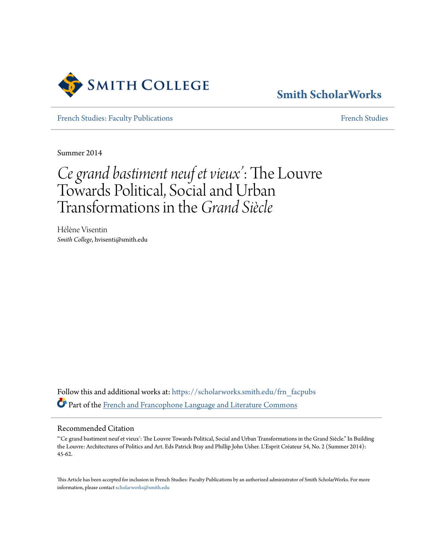

## **[Smith ScholarWorks](https://scholarworks.smith.edu/?utm_source=scholarworks.smith.edu%2Ffrn_facpubs%2F8&utm_medium=PDF&utm_campaign=PDFCoverPages)**

[French Studies: Faculty Publications](https://scholarworks.smith.edu/frn_facpubs?utm_source=scholarworks.smith.edu%2Ffrn_facpubs%2F8&utm_medium=PDF&utm_campaign=PDFCoverPages) [French Studies](https://scholarworks.smith.edu/frn?utm_source=scholarworks.smith.edu%2Ffrn_facpubs%2F8&utm_medium=PDF&utm_campaign=PDFCoverPages)

Summer 2014

# *Ce grand bastiment neuf et vieux'*: The Louvre Towards Political, Social and Urban Transformations in the *Grand Siècle*

Hélène Visentin *Smith College*, hvisenti@smith.edu

Follow this and additional works at: [https://scholarworks.smith.edu/frn\\_facpubs](https://scholarworks.smith.edu/frn_facpubs?utm_source=scholarworks.smith.edu%2Ffrn_facpubs%2F8&utm_medium=PDF&utm_campaign=PDFCoverPages) Part of the [French and Francophone Language and Literature Commons](http://network.bepress.com/hgg/discipline/463?utm_source=scholarworks.smith.edu%2Ffrn_facpubs%2F8&utm_medium=PDF&utm_campaign=PDFCoverPages)

#### Recommended Citation

"'Ce grand bastiment neuf et vieux': The Louvre Towards Political, Social and Urban Transformations in the Grand Siècle." In Building the Louvre: Architectures of Politics and Art. Eds Patrick Bray and Phillip John Usher. L'Esprit Créateur 54, No. 2 (Summer 2014): 45-62.

This Article has been accepted for inclusion in French Studies: Faculty Publications by an authorized administrator of Smith ScholarWorks. For more information, please contact [scholarworks@smith.edu](mailto:scholarworks@smith.edu)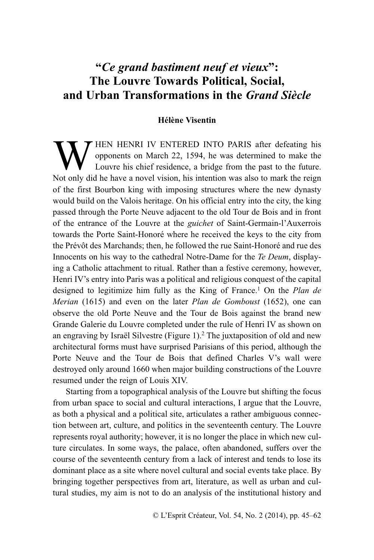### **"***Ce grand bastiment neuf et vieux***": The Louvre Towards Political, Social, and Urban Transformations in the** *Grand Siècle*

#### **Hélène Visentin**

WHENRI IV ENTERED INTO PARIS after defeating his<br>opponents on March 22, 1594, he was determined to make the<br>Louvre his chief residence, a bridge from the past to the future.<br>Not only did he have a novel vision, his intenti opponents on March 22, 1594, he was determined to make the Louvre his chief residence, a bridge from the past to the future. Not only did he have a novel vision, his intention was also to mark the reign of the first Bourbon king with imposing structures where the new dynasty would build on the Valois heritage. On his official entry into the city, the king passed through the Porte Neuve adjacent to the old Tour de Bois and in front of the entrance of the Louvre at the *guichet* of Saint-Germain-l'Auxerrois towards the Porte Saint-Honoré where he received the keys to the city from the Prévôt des Marchands; then, he followed the rue Saint-Honoré and rue des Innocents on his way to the cathedral Notre-Dame for the *Te Deum*, displaying a Catholic attachment to ritual. Rather than a festive ceremony, however, Henri IV's entry into Paris was a political and religious conquest of the capital designed to legitimize him fully as the King of France.1 On the *Plan de Merian* (1615) and even on the later *Plan de Gomboust* (1652), one can observe the old Porte Neuve and the Tour de Bois against the brand new Grande Galerie du Louvre completed under the rule of Henri IV as shown on an engraving by Israël Silvestre (Figure 1).<sup>2</sup> The juxtaposition of old and new architectural forms must have surprised Parisians of this period, although the Porte Neuve and the Tour de Bois that defined Charles V's wall were destroyed only around 1660 when major building constructions of the Louvre resumed under the reign of Louis XIV.

Starting from a topographical analysis of the Louvre but shifting the focus from urban space to social and cultural interactions, I argue that the Louvre, as both a physical and a political site, articulates a rather ambiguous connection between art, culture, and politics in the seventeenth century. The Louvre represents royal authority; however, it is no longer the place in which new culture circulates. In some ways, the palace, often abandoned, suffers over the course of the seventeenth century from a lack of interest and tends to lose its dominant place as a site where novel cultural and social events take place. By bringing together perspectives from art, literature, as well as urban and cultural studies, my aim is not to do an analysis of the institutional history and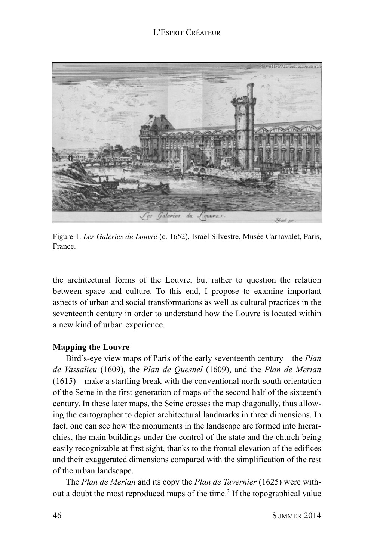

Figure 1. *Les Galeries du Louvre* (c. 1652), Israël Silvestre, Musée Carnavalet, Paris, France.

the architectural forms of the Louvre, but rather to question the relation between space and culture. To this end, I propose to examine important aspects of urban and social transformations as well as cultural practices in the seventeenth century in order to understand how the Louvre is located within a new kind of urban experience.

#### **Mapping the Louvre**

Bird's-eye view maps of Paris of the early seventeenth century—the *Plan de Vassalieu* (1609), the *Plan de Quesnel* (1609), and the *Plan de Merian* (1615)—make a startling break with the conventional north-south orientation of the Seine in the first generation of maps of the second half of the sixteenth century. In these later maps, the Seine crosses the map diagonally, thus allowing the cartographer to depict architectural landmarks in three dimensions. In fact, one can see how the monuments in the landscape are formed into hierarchies, the main buildings under the control of the state and the church being easily recognizable at first sight, thanks to the frontal elevation of the edifices and their exaggerated dimensions compared with the simplification of the rest of the urban landscape.

The *Plan de Merian* and its copy the *Plan de Tavernier* (1625) were without a doubt the most reproduced maps of the time.<sup>3</sup> If the topographical value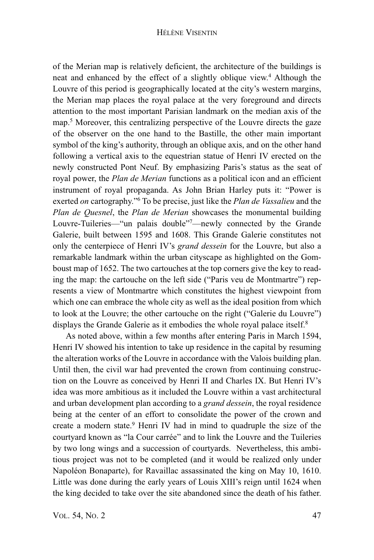#### HÉLÈNE VISENTIN

of the Merian map is relatively deficient, the architecture of the buildings is neat and enhanced by the effect of a slightly oblique view.<sup>4</sup> Although the Louvre of this period is geographically located at the city's western margins, the Merian map places the royal palace at the very foreground and directs attention to the most important Parisian landmark on the median axis of the map.5 Moreover, this centralizing perspective of the Louvre directs the gaze of the observer on the one hand to the Bastille, the other main important symbol of the king's authority, through an oblique axis, and on the other hand following a vertical axis to the equestrian statue of Henri IV erected on the newly constructed Pont Neuf. By emphasizing Paris's status as the seat of royal power, the *Plan de Merian* functions as a political icon and an efficient instrument of royal propaganda. As John Brian Harley puts it: "Power is exerted *on* cartography."6 To be precise, just like the *Plan de Vassalieu* and the *Plan de Quesnel*, the *Plan de Merian* showcases the monumental building Louvre-Tuileries—"un palais double"7 —newly connected by the Grande Galerie, built between 1595 and 1608. This Grande Galerie constitutes not only the centerpiece of Henri IV's *grand dessein* for the Louvre, but also a remarkable landmark within the urban cityscape as highlighted on the Gomboust map of 1652. The two cartouches at the top corners give the key to reading the map: the cartouche on the left side ("Paris veu de Montmartre") represents a view of Montmartre which constitutes the highest viewpoint from which one can embrace the whole city as well as the ideal position from which to look at the Louvre; the other cartouche on the right ("Galerie du Louvre") displays the Grande Galerie as it embodies the whole royal palace itself.<sup>8</sup>

As noted above, within a few months after entering Paris in March 1594, Henri IV showed his intention to take up residence in the capital by resuming the alteration works of the Louvre in accordance with the Valois building plan. Until then, the civil war had prevented the crown from continuing construction on the Louvre as conceived by Henri II and Charles IX. But Henri IV's idea was more ambitious as it included the Louvre within a vast architectural and urban development plan according to a *grand dessein*, the royal residence being at the center of an effort to consolidate the power of the crown and create a modern state.<sup>9</sup> Henri IV had in mind to quadruple the size of the courtyard known as "la Cour carrée" and to link the Louvre and the Tuileries by two long wings and a succession of courtyards. Nevertheless, this ambitious project was not to be completed (and it would be realized only under Napoléon Bonaparte), for Ravaillac assassinated the king on May 10, 1610. Little was done during the early years of Louis XIII's reign until 1624 when the king decided to take over the site abandoned since the death of his father.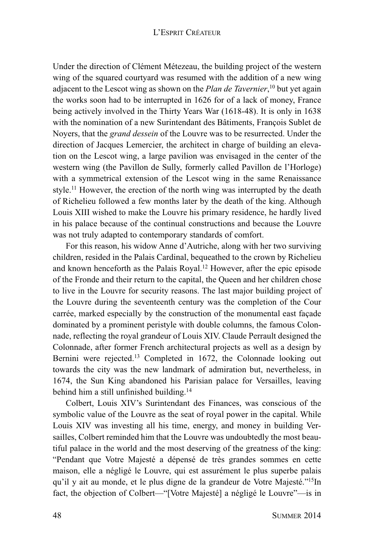Under the direction of Clément Métezeau, the building project of the western wing of the squared courtyard was resumed with the addition of a new wing adjacent to the Lescot wing as shown on the *Plan de Tavernier*, <sup>10</sup> but yet again the works soon had to be interrupted in 1626 for of a lack of money, France being actively involved in the Thirty Years War (1618-48). It is only in 1638 with the nomination of a new Surintendant des Bâtiments, François Sublet de Noyers, that the *grand dessein* of the Louvre was to be resurrected. Under the direction of Jacques Lemercier, the architect in charge of building an elevation on the Lescot wing, a large pavilion was envisaged in the center of the western wing (the Pavillon de Sully, formerly called Pavillon de l'Horloge) with a symmetrical extension of the Lescot wing in the same Renaissance style.11 However, the erection of the north wing was interrupted by the death of Richelieu followed a few months later by the death of the king. Although Louis XIII wished to make the Louvre his primary residence, he hardly lived in his palace because of the continual constructions and because the Louvre was not truly adapted to contemporary standards of comfort.

For this reason, his widow Anne d'Autriche, along with her two surviving children, resided in the Palais Cardinal, bequeathed to the crown by Richelieu and known henceforth as the Palais Royal.<sup>12</sup> However, after the epic episode of the Fronde and their return to the capital, the Queen and her children chose to live in the Louvre for security reasons. The last major building project of the Louvre during the seventeenth century was the completion of the Cour carrée, marked especially by the construction of the monumental east façade dominated by a prominent peristyle with double columns, the famous Colonnade, reflecting the royal grandeur of Louis XIV. Claude Perrault designed the Colonnade, after former French architectural projects as well as a design by Bernini were rejected.<sup>13</sup> Completed in 1672, the Colonnade looking out towards the city was the new landmark of admiration but, nevertheless, in 1674, the Sun King abandoned his Parisian palace for Versailles, leaving behind him a still unfinished building.14

Colbert, Louis XIV's Surintendant des Finances, was conscious of the symbolic value of the Louvre as the seat of royal power in the capital. While Louis XIV was investing all his time, energy, and money in building Versailles, Colbert reminded him that the Louvre was undoubtedly the most beautiful palace in the world and the most deserving of the greatness of the king: "Pendant que Votre Majesté a dépensé de très grandes sommes en cette maison, elle a négligé le Louvre, qui est assurément le plus superbe palais qu'il y ait au monde, et le plus digne de la grandeur de Votre Majesté."15In fact, the objection of Colbert—"[Votre Majesté] a négligé le Louvre"—is in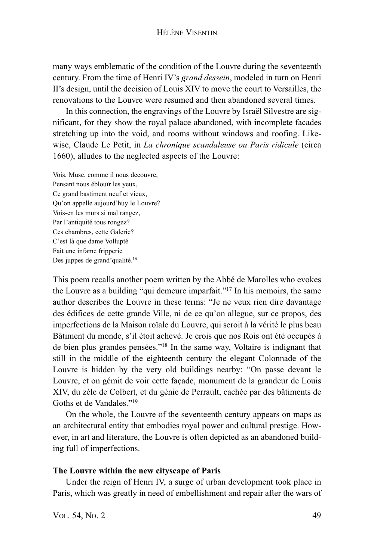many ways emblematic of the condition of the Louvre during the seventeenth century. From the time of Henri IV's *grand dessein*, modeled in turn on Henri II's design, until the decision of Louis XIV to move the court to Versailles, the renovations to the Louvre were resumed and then abandoned several times.

In this connection, the engravings of the Louvre by Israël Silvestre are significant, for they show the royal palace abandoned, with incomplete facades stretching up into the void, and rooms without windows and roofing. Likewise, Claude Le Petit, in *La chronique scandaleuse ou Paris ridicule* (circa 1660), alludes to the neglected aspects of the Louvre:

Vois, Muse, comme il nous decouvre, Pensant nous éblouïr les yeux, Ce grand bastiment neuf et vieux, Qu'on appelle aujourd'huy le Louvre? Vois-en les murs si mal rangez, Par l'antiquité tous rongez? Ces chambres, cette Galerie? C'est là que dame Vollupté Fait une infame fripperie Des juppes de grand'qualité.<sup>16</sup>

This poem recalls another poem written by the Abbé de Marolles who evokes the Louvre as a building "qui demeure imparfait."17 In his memoirs, the same author describes the Louvre in these terms: "Je ne veux rien dire davantage des édifices de cette grande Ville, ni de ce qu'on allegue, sur ce propos, des imperfections de la Maison roïale du Louvre, qui seroit à la vérité le plus beau Bâtiment du monde, s'il étoit achevé. Je crois que nos Rois ont été occupés à de bien plus grandes pensées."18 In the same way, Voltaire is indignant that still in the middle of the eighteenth century the elegant Colonnade of the Louvre is hidden by the very old buildings nearby: "On passe devant le Louvre, et on gémit de voir cette façade, monument de la grandeur de Louis XIV, du zèle de Colbert, et du génie de Perrault, cachée par des bâtiments de Goths et de Vandales."19

On the whole, the Louvre of the seventeenth century appears on maps as an architectural entity that embodies royal power and cultural prestige. However, in art and literature, the Louvre is often depicted as an abandoned building full of imperfections.

#### **The Louvre within the new cityscape of Paris**

Under the reign of Henri IV, a surge of urban development took place in Paris, which was greatly in need of embellishment and repair after the wars of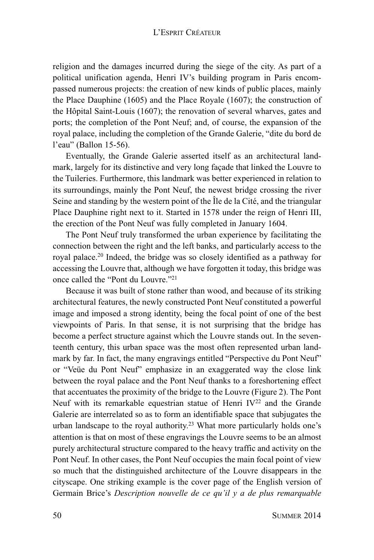religion and the damages incurred during the siege of the city. As part of a political unification agenda, Henri IV's building program in Paris encompassed numerous projects: the creation of new kinds of public places, mainly the Place Dauphine (1605) and the Place Royale (1607); the construction of the Hôpital Saint-Louis (1607); the renovation of several wharves, gates and ports; the completion of the Pont Neuf; and, of course, the expansion of the royal palace, including the completion of the Grande Galerie, "dite du bord de l'eau" (Ballon 15-56).

Eventually, the Grande Galerie asserted itself as an architectural landmark, largely for its distinctive and very long façade that linked the Louvre to the Tuileries. Furthermore, this landmark was better experienced in relation to its surroundings, mainly the Pont Neuf, the newest bridge crossing the river Seine and standing by the western point of the Île de la Cité, and the triangular Place Dauphine right next to it. Started in 1578 under the reign of Henri III, the erection of the Pont Neuf was fully completed in January 1604.

The Pont Neuf truly transformed the urban experience by facilitating the connection between the right and the left banks, and particularly access to the royal palace.20 Indeed, the bridge was so closely identified as a pathway for accessing the Louvre that, although we have forgotten it today, this bridge was once called the "Pont du Louvre."21

Because it was built of stone rather than wood, and because of its striking architectural features, the newly constructed Pont Neuf constituted a powerful image and imposed a strong identity, being the focal point of one of the best viewpoints of Paris. In that sense, it is not surprising that the bridge has become a perfect structure against which the Louvre stands out. In the seventeenth century, this urban space was the most often represented urban landmark by far. In fact, the many engravings entitled "Perspective du Pont Neuf" or "Veüe du Pont Neuf" emphasize in an exaggerated way the close link between the royal palace and the Pont Neuf thanks to a foreshortening effect that accentuates the proximity of the bridge to the Louvre (Figure 2). The Pont Neuf with its remarkable equestrian statue of Henri  $IV^{22}$  and the Grande Galerie are interrelated so as to form an identifiable space that subjugates the urban landscape to the royal authority.23 What more particularly holds one's attention is that on most of these engravings the Louvre seems to be an almost purely architectural structure compared to the heavy traffic and activity on the Pont Neuf. In other cases, the Pont Neuf occupies the main focal point of view so much that the distinguished architecture of the Louvre disappears in the cityscape. One striking example is the cover page of the English version of Germain Brice's *Description nouvelle de ce qu'il y a de plus remarquable*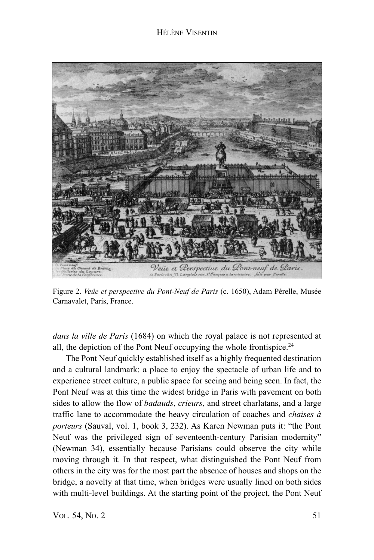

Figure 2. *Veüe et perspective du Pont-Neuf de Paris* (c. 1650), Adam Pérelle, Musée Carnavalet, Paris, France.

*dans la ville de Paris* (1684) on which the royal palace is not represented at all, the depiction of the Pont Neuf occupying the whole frontispice.<sup>24</sup>

The Pont Neuf quickly established itself as a highly frequented destination and a cultural landmark: a place to enjoy the spectacle of urban life and to experience street culture, a public space for seeing and being seen. In fact, the Pont Neuf was at this time the widest bridge in Paris with pavement on both sides to allow the flow of *badauds*, *crieurs*, and street charlatans, and a large traffic lane to accommodate the heavy circulation of coaches and *chaises à porteurs* (Sauval, vol. 1, book 3, 232). As Karen Newman puts it: "the Pont Neuf was the privileged sign of seventeenth-century Parisian modernity" (Newman 34), essentially because Parisians could observe the city while moving through it. In that respect, what distinguished the Pont Neuf from others in the city was for the most part the absence of houses and shops on the bridge, a novelty at that time, when bridges were usually lined on both sides with multi-level buildings. At the starting point of the project, the Pont Neuf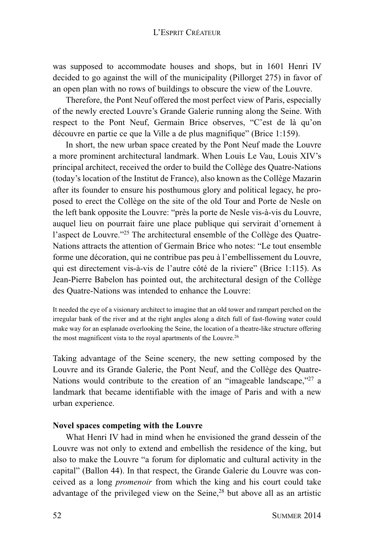#### L'ESPRIT CRÉATEUR

was supposed to accommodate houses and shops, but in 1601 Henri IV decided to go against the will of the municipality (Pillorget 275) in favor of an open plan with no rows of buildings to obscure the view of the Louvre.

Therefore, the Pont Neuf offered the most perfect view of Paris, especially of the newly erected Louvre's Grande Galerie running along the Seine. With respect to the Pont Neuf, Germain Brice observes, "C'est de là qu'on découvre en partie ce que la Ville a de plus magnifique" (Brice 1:159).

In short, the new urban space created by the Pont Neuf made the Louvre a more prominent architectural landmark. When Louis Le Vau, Louis XIV's principal architect, received the order to build the Collège des Quatre-Nations (today's location of the Institut de France), also known as the Collège Mazarin after its founder to ensure his posthumous glory and political legacy, he proposed to erect the Collège on the site of the old Tour and Porte de Nesle on the left bank opposite the Louvre: "près la porte de Nesle vis-à-vis du Louvre, auquel lieu on pourrait faire une place publique qui servirait d'ornement à l'aspect de Louvre."25 The architectural ensemble of the Collège des Quatre-Nations attracts the attention of Germain Brice who notes: "Le tout ensemble forme une décoration, qui ne contribue pas peu à l'embellissement du Louvre, qui est directement vis-à-vis de l'autre côté de la riviere" (Brice 1:115). As Jean-Pierre Babelon has pointed out, the architectural design of the Collège des Quatre-Nations was intended to enhance the Louvre:

It needed the eye of a visionary architect to imagine that an old tower and rampart perched on the irregular bank of the river and at the right angles along a ditch full of fast-flowing water could make way for an esplanade overlooking the Seine, the location of a theatre-like structure offering the most magnificent vista to the royal apartments of the Louvre.<sup>26</sup>

Taking advantage of the Seine scenery, the new setting composed by the Louvre and its Grande Galerie, the Pont Neuf, and the Collège des Quatre-Nations would contribute to the creation of an "imageable landscape,"<sup>27</sup> a landmark that became identifiable with the image of Paris and with a new urban experience.

#### **Novel spaces competing with the Louvre**

What Henri IV had in mind when he envisioned the grand dessein of the Louvre was not only to extend and embellish the residence of the king, but also to make the Louvre "a forum for diplomatic and cultural activity in the capital" (Ballon 44). In that respect, the Grande Galerie du Louvre was conceived as a long *promenoir* from which the king and his court could take advantage of the privileged view on the Seine, $28$  but above all as an artistic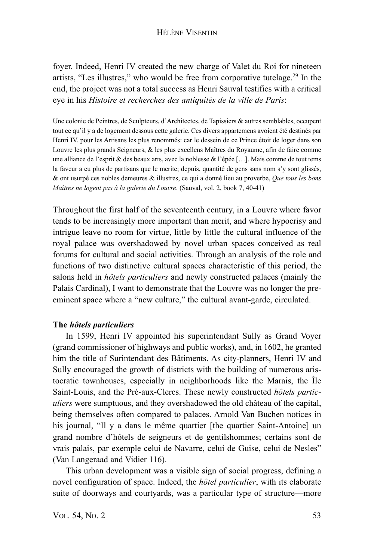foyer. Indeed, Henri IV created the new charge of Valet du Roi for nineteen artists, "Les illustres," who would be free from corporative tutelage.<sup>29</sup> In the end, the project was not a total success as Henri Sauval testifies with a critical eye in his *Histoire et recherches des antiquités de la ville de Paris*:

Une colonie de Peintres, de Sculpteurs, d'Architectes, de Tapissiers & autres semblables, occupent tout ce qu'il y a de logement dessous cette galerie. Ces divers appartemens avoient été destinés par Henri IV. pour les Artisans les plus renommés: car le dessein de ce Prince étoit de loger dans son Louvre les plus grands Seigneurs, & les plus excellens Maîtres du Royaume, afin de faire comme une alliance de l'esprit & des beaux arts, avec la noblesse & l'épée […]. Mais comme de tout tems la faveur a eu plus de partisans que le merite; depuis, quantité de gens sans nom s'y sont glissés, & ont usurpé ces nobles demeures & illustres, ce qui a donné lieu au proverbe, *Que tous les bons Maîtres ne logent pas à la galerie du Louvre*. (Sauval, vol. 2, book 7, 40-41)

Throughout the first half of the seventeenth century, in a Louvre where favor tends to be increasingly more important than merit, and where hypocrisy and intrigue leave no room for virtue, little by little the cultural influence of the royal palace was overshadowed by novel urban spaces conceived as real forums for cultural and social activities. Through an analysis of the role and functions of two distinctive cultural spaces characteristic of this period, the salons held in *hôtels particuliers* and newly constructed palaces (mainly the Palais Cardinal), I want to demonstrate that the Louvre was no longer the preeminent space where a "new culture," the cultural avant-garde, circulated.

#### **The** *hôtels particuliers*

In 1599, Henri IV appointed his superintendant Sully as Grand Voyer (grand commissioner of highways and public works), and, in 1602, he granted him the title of Surintendant des Bâtiments. As city-planners, Henri IV and Sully encouraged the growth of districts with the building of numerous aristocratic townhouses, especially in neighborhoods like the Marais, the Île Saint-Louis, and the Pré-aux-Clercs. These newly constructed *hôtels particuliers* were sumptuous, and they overshadowed the old château of the capital, being themselves often compared to palaces. Arnold Van Buchen notices in his journal, "Il y a dans le même quartier [the quartier Saint-Antoine] un grand nombre d'hôtels de seigneurs et de gentilshommes; certains sont de vrais palais, par exemple celui de Navarre, celui de Guise, celui de Nesles" (Van Langeraad and Vidier 116).

This urban development was a visible sign of social progress, defining a novel configuration of space. Indeed, the *hôtel particulier*, with its elaborate suite of doorways and courtyards, was a particular type of structure—more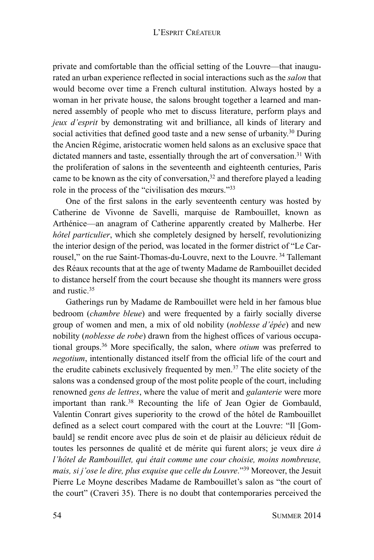private and comfortable than the official setting of the Louvre—that inaugurated an urban experience reflected in social interactions such as the *salon* that would become over time a French cultural institution. Always hosted by a woman in her private house, the salons brought together a learned and mannered assembly of people who met to discuss literature, perform plays and *jeux d'esprit* by demonstrating wit and brilliance, all kinds of literary and social activities that defined good taste and a new sense of urbanity.<sup>30</sup> During the Ancien Régime, aristocratic women held salons as an exclusive space that dictated manners and taste, essentially through the art of conversation.<sup>31</sup> With the proliferation of salons in the seventeenth and eighteenth centuries, Paris came to be known as the city of conversation, $32$  and therefore played a leading role in the process of the "civilisation des mœurs."33

One of the first salons in the early seventeenth century was hosted by Catherine de Vivonne de Savelli, marquise de Rambouillet, known as Arthénice—an anagram of Catherine apparently created by Malherbe. Her *hôtel particulier*, which she completely designed by herself, revolutionizing the interior design of the period, was located in the former district of "Le Carrousel," on the rue Saint-Thomas-du-Louvre, next to the Louvre. <sup>34</sup> Tallemant des Réaux recounts that at the age of twenty Madame de Rambouillet decided to distance herself from the court because she thought its manners were gross and rustic.35

Gatherings run by Madame de Rambouillet were held in her famous blue bedroom (*chambre bleue*) and were frequented by a fairly socially diverse group of women and men, a mix of old nobility (*noblesse d'épée*) and new nobility (*noblesse de robe*) drawn from the highest offices of various occupational groups.36 More specifically, the salon, where *otium* was preferred to *negotium*, intentionally distanced itself from the official life of the court and the erudite cabinets exclusively frequented by men.37 The elite society of the salons was a condensed group of the most polite people of the court, including renowned *gens de lettres*, where the value of merit and *galanterie* were more important than rank.38 Recounting the life of Jean Ogier de Gombauld, Valentin Conrart gives superiority to the crowd of the hôtel de Rambouillet defined as a select court compared with the court at the Louvre: "Il [Gombauld] se rendit encore avec plus de soin et de plaisir au délicieux réduit de toutes les personnes de qualité et de mérite qui furent alors; je veux dire *à l'hôtel de Rambouillet, qui était comme une cour choisie, moins nombreuse, mais, si j'ose le dire, plus exquise que celle du Louvre.*"<sup>39</sup> Moreover, the Jesuit Pierre Le Moyne describes Madame de Rambouillet's salon as "the court of the court" (Craveri 35). There is no doubt that contemporaries perceived the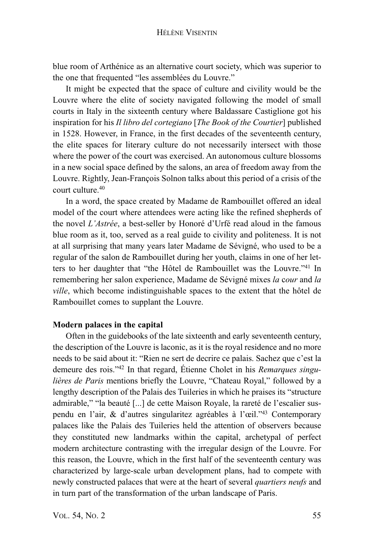blue room of Arthénice as an alternative court society, which was superior to the one that frequented "les assemblées du Louvre."

It might be expected that the space of culture and civility would be the Louvre where the elite of society navigated following the model of small courts in Italy in the sixteenth century where Baldassare Castiglione got his inspiration for his *Il libro del cortegiano* [*The Book of the Courtier*] published in 1528. However, in France, in the first decades of the seventeenth century, the elite spaces for literary culture do not necessarily intersect with those where the power of the court was exercised. An autonomous culture blossoms in a new social space defined by the salons, an area of freedom away from the Louvre. Rightly, Jean-François Solnon talks about this period of a crisis of the court culture.40

In a word, the space created by Madame de Rambouillet offered an ideal model of the court where attendees were acting like the refined shepherds of the novel *L'Astrée*, a best-seller by Honoré d'Urfé read aloud in the famous blue room as it, too, served as a real guide to civility and politeness. It is not at all surprising that many years later Madame de Sévigné, who used to be a regular of the salon de Rambouillet during her youth, claims in one of her letters to her daughter that "the Hôtel de Rambouillet was the Louvre."41 In remembering her salon experience, Madame de Sévigné mixes *la* c*our* and *la ville*, which become indistinguishable spaces to the extent that the hôtel de Rambouillet comes to supplant the Louvre.

#### **Modern palaces in the capital**

Often in the guidebooks of the late sixteenth and early seventeenth century, the description of the Louvre is laconic, as it is the royal residence and no more needs to be said about it: "Rien ne sert de decrire ce palais. Sachez que c'est la demeure des rois."42 In that regard, Étienne Cholet in his *Remarques singulières de Paris* mentions briefly the Louvre, "Chateau Royal," followed by a lengthy description of the Palais des Tuileries in which he praises its "structure admirable," "la beauté [...] de cette Maison Royale, la rareté de l'escalier suspendu en l'air, & d'autres singularitez agréables à l'œil."43 Contemporary palaces like the Palais des Tuileries held the attention of observers because they constituted new landmarks within the capital, archetypal of perfect modern architecture contrasting with the irregular design of the Louvre. For this reason, the Louvre, which in the first half of the seventeenth century was characterized by large-scale urban development plans, had to compete with newly constructed palaces that were at the heart of several *quartiers neufs* and in turn part of the transformation of the urban landscape of Paris.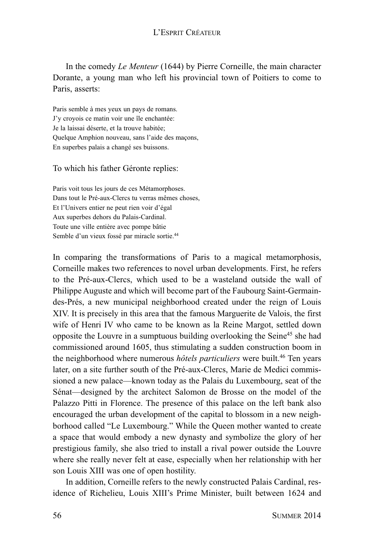In the comedy *Le Menteur* (1644) by Pierre Corneille, the main character Dorante, a young man who left his provincial town of Poitiers to come to Paris, asserts:

Paris semble à mes yeux un pays de romans. J'y croyois ce matin voir une île enchantée: Je la laissai déserte, et la trouve habitée; Quelque Amphion nouveau, sans l'aide des maçons, En superbes palais a changé ses buissons.

#### To which his father Géronte replies:

Paris voit tous les jours de ces Métamorphoses. Dans tout le Pré-aux-Clercs tu verras mêmes choses, Et l'Univers entier ne peut rien voir d'égal Aux superbes dehors du Palais-Cardinal. Toute une ville entière avec pompe bâtie Semble d'un vieux fossé par miracle sortie.44

In comparing the transformations of Paris to a magical metamorphosis, Corneille makes two references to novel urban developments. First, he refers to the Pré-aux-Clercs, which used to be a wasteland outside the wall of Philippe Auguste and which will become part of the Faubourg Saint-Germaindes-Prés, a new municipal neighborhood created under the reign of Louis XIV. It is precisely in this area that the famous Marguerite de Valois, the first wife of Henri IV who came to be known as la Reine Margot, settled down opposite the Louvre in a sumptuous building overlooking the Seine45 she had commissioned around 1605, thus stimulating a sudden construction boom in the neighborhood where numerous *hôtels particuliers* were built.<sup>46</sup> Ten years later, on a site further south of the Pré-aux-Clercs, Marie de Medici commissioned a new palace—known today as the Palais du Luxembourg, seat of the Sénat—designed by the architect Salomon de Brosse on the model of the Palazzo Pitti in Florence. The presence of this palace on the left bank also encouraged the urban development of the capital to blossom in a new neighborhood called "Le Luxembourg." While the Queen mother wanted to create a space that would embody a new dynasty and symbolize the glory of her prestigious family, she also tried to install a rival power outside the Louvre where she really never felt at ease, especially when her relationship with her son Louis XIII was one of open hostility.

In addition, Corneille refers to the newly constructed Palais Cardinal, residence of Richelieu, Louis XIII's Prime Minister, built between 1624 and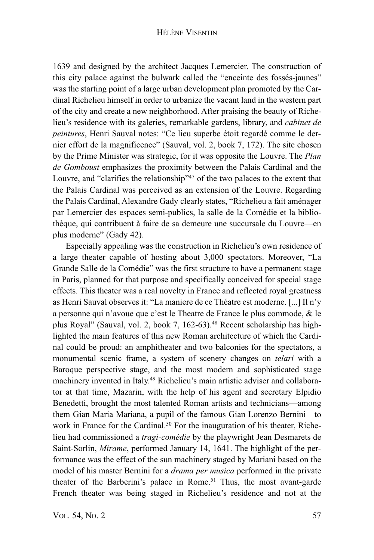#### HÉLÈNE VISENTIN

1639 and designed by the architect Jacques Lemercier. The construction of this city palace against the bulwark called the "enceinte des fossés-jaunes" was the starting point of a large urban development plan promoted by the Cardinal Richelieu himself in order to urbanize the vacant land in the western part of the city and create a new neighborhood. After praising the beauty of Richelieu's residence with its galeries, remarkable gardens, library, and *cabinet de peintures*, Henri Sauval notes: "Ce lieu superbe étoit regardé comme le dernier effort de la magnificence" (Sauval, vol. 2, book 7, 172). The site chosen by the Prime Minister was strategic, for it was opposite the Louvre. The *Plan de Gomboust* emphasizes the proximity between the Palais Cardinal and the Louvre, and "clarifies the relationship"<sup>47</sup> of the two palaces to the extent that the Palais Cardinal was perceived as an extension of the Louvre. Regarding the Palais Cardinal, Alexandre Gady clearly states, "Richelieu a fait aménager par Lemercier des espaces semi-publics, la salle de la Comédie et la bibliothèque, qui contribuent à faire de sa demeure une succursale du Louvre—en plus moderne" (Gady 42).

Especially appealing was the construction in Richelieu's own residence of a large theater capable of hosting about 3,000 spectators. Moreover, "La Grande Salle de la Comédie" was the first structure to have a permanent stage in Paris, planned for that purpose and specifically conceived for special stage effects. This theater was a real novelty in France and reflected royal greatness as Henri Sauval observes it: "La maniere de ce Théatre est moderne. [...] Il n'y a personne qui n'avoue que c'est le Theatre de France le plus commode, & le plus Royal" (Sauval, vol. 2, book 7, 162-63).<sup>48</sup> Recent scholarship has highlighted the main features of this new Roman architecture of which the Cardinal could be proud: an amphitheater and two balconies for the spectators, a monumental scenic frame, a system of scenery changes on *telari* with a Baroque perspective stage, and the most modern and sophisticated stage machinery invented in Italy.<sup>49</sup> Richelieu's main artistic adviser and collaborator at that time, Mazarin, with the help of his agent and secretary Elpidio Benedetti, brought the most talented Roman artists and technicians—among them Gian Maria Mariana, a pupil of the famous Gian Lorenzo Bernini—to work in France for the Cardinal.<sup>50</sup> For the inauguration of his theater, Richelieu had commissioned a *tragi-comédie* by the playwright Jean Desmarets de Saint-Sorlin, *Mirame*, performed January 14, 1641. The highlight of the performance was the effect of the sun machinery staged by Mariani based on the model of his master Bernini for a *drama per musica* performed in the private theater of the Barberini's palace in Rome.<sup>51</sup> Thus, the most avant-garde French theater was being staged in Richelieu's residence and not at the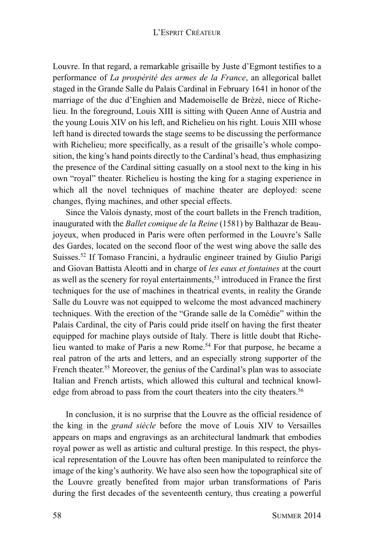Louvre. In that regard, a remarkable grisaille by Juste d'Egmont testifies to a performance of *La prospérité des armes de la France*, an allegorical ballet staged in the Grande Salle du Palais Cardinal in February 1641 in honor of the marriage of the duc d'Enghien and Mademoiselle de Brézé, niece of Richelieu. In the foreground, Louis XIII is sitting with Queen Anne of Austria and the young Louis XIV on his left, and Richelieu on his right. Louis XIII whose left hand is directed towards the stage seems to be discussing the performance with Richelieu; more specifically, as a result of the grisaille's whole composition, the king's hand points directly to the Cardinal's head, thus emphasizing the presence of the Cardinal sitting casually on a stool next to the king in his own "royal" theater. Richelieu is hosting the king for a staging experience in which all the novel techniques of machine theater are deployed: scene changes, flying machines, and other special effects.

Since the Valois dynasty, most of the court ballets in the French tradition, inaugurated with the *Ballet comique de la Reine* (1581) by Balthazar de Beaujoyeux, when produced in Paris were often performed in the Louvre's Salle des Gardes, located on the second floor of the west wing above the salle des Suisses.52 If Tomaso Francini, a hydraulic engineer trained by Giulio Parigi and Giovan Battista Aleotti and in charge of *les eaux et fontaines* at the court as well as the scenery for royal entertainments,<sup>53</sup> introduced in France the first techniques for the use of machines in theatrical events, in reality the Grande Salle du Louvre was not equipped to welcome the most advanced machinery techniques. With the erection of the "Grande salle de la Comédie" within the Palais Cardinal, the city of Paris could pride itself on having the first theater equipped for machine plays outside of Italy. There is little doubt that Richelieu wanted to make of Paris a new Rome.<sup>54</sup> For that purpose, he became a real patron of the arts and letters, and an especially strong supporter of the French theater.<sup>55</sup> Moreover, the genius of the Cardinal's plan was to associate Italian and French artists, which allowed this cultural and technical knowledge from abroad to pass from the court theaters into the city theaters.<sup>56</sup>

In conclusion, it is no surprise that the Louvre as the official residence of the king in the *grand siècle* before the move of Louis XIV to Versailles appears on maps and engravings as an architectural landmark that embodies royal power as well as artistic and cultural prestige. In this respect, the physical representation of the Louvre has often been manipulated to reinforce the image of the king's authority. We have also seen how the topographical site of the Louvre greatly benefited from major urban transformations of Paris during the first decades of the seventeenth century, thus creating a powerful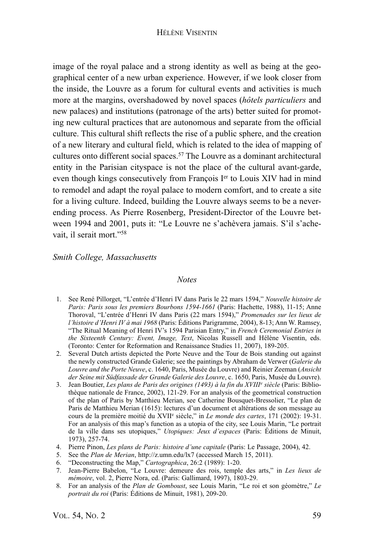image of the royal palace and a strong identity as well as being at the geographical center of a new urban experience. However, if we look closer from the inside, the Louvre as a forum for cultural events and activities is much more at the margins, overshadowed by novel spaces (*hôtels particuliers* and new palaces) and institutions (patronage of the arts) better suited for promoting new cultural practices that are autonomous and separate from the official culture. This cultural shift reflects the rise of a public sphere, and the creation of a new literary and cultural field, which is related to the idea of mapping of cultures onto different social spaces.57 The Louvre as a dominant architectural entity in the Parisian cityspace is not the place of the cultural avant-garde, even though kings consecutively from François I<sup>er</sup> to Louis XIV had in mind to remodel and adapt the royal palace to modern comfort, and to create a site for a living culture. Indeed, building the Louvre always seems to be a neverending process. As Pierre Rosenberg, President-Director of the Louvre between 1994 and 2001, puts it: "Le Louvre ne s'achèvera jamais. S'il s'achevait, il serait mort."<sup>58</sup>

*Smith College, Massachusetts*

#### *Notes*

- 1. See René Pillorget, "L'entrée d'Henri IV dans Paris le 22 mars 1594," *Nouvelle histoire de Paris: Paris sous les premiers Bourbons 1594-1661* (Paris: Hachette, 1988), 11-15; Anne Thoroval, "L'entrée d'Henri IV dans Paris (22 mars 1594)," *Promenades sur les lieux de l'histoire d'Henri IV à mai 1968* (Paris: Éditions Parigramme, 2004), 8-13; Ann W. Ramsey, "The Ritual Meaning of Henri IV's 1594 Parisian Entry," in *French Ceremonial Entries in the Sixteenth Century: Event, Image, Text*, Nicolas Russell and Hélène Visentin, eds. (Toronto: Center for Reformation and Renaissance Studies 11, 2007), 189-205.
- 2. Several Dutch artists depicted the Porte Neuve and the Tour de Bois standing out against the newly constructed Grande Galerie; see the paintings by Abraham de Verwer (*Galerie du Louvre and the Porte Neuve*, c. 1640, Paris, Musée du Louvre) and Reinier Zeeman (*Ansicht der Seine mit Südfassade der Grande Galerie des Louvre*, c. 1650, Paris, Musée du Louvre).
- 3. Jean Boutier, *Les plans de Paris des origines (1493) à la fin du XVIIIe siècle* (Paris: Bibliothèque nationale de France, 2002), 121-29. For an analysis of the geometrical construction of the plan of Paris by Matthieu Merian, see Catherine Bousquet-Bressolier, "Le plan de Paris de Matthieu Merian (1615): lectures d'un document et altérations de son message au cours de la première moitié du XVIIe siècle," in *Le monde des cartes*, 171 (2002): 19-31. For an analysis of this map's function as a utopia of the city, see Louis Marin, "Le portrait de la ville dans ses utopiques," *Utopiques: Jeux d'espaces* (Paris: Éditions de Minuit, 1973), 257-74.
- 4. Pierre Pinon, *Les plans de Paris: histoire d'une capitale* (Paris: Le Passage, 2004), 42.
- 5. See the *Plan de Merian*, http://z.umn.edu/lx7 (accessed March 15, 2011).
- 6. "Deconstructing the Map," *Cartographica*, 26:2 (1989): 1-20.
- 7. Jean-Pierre Babelon, "Le Louvre: demeure des rois, temple des arts," in *Les lieux de mémoire*, vol. 2, Pierre Nora, ed. (Paris: Gallimard, 1997), 1803-29.
- 8. For an analysis of the *Plan de Gomboust*, see Louis Marin, "Le roi et son géomètre," *Le portrait du roi* (Paris: Éditions de Minuit, 1981), 209-20.

VOL. 54, No. 2 59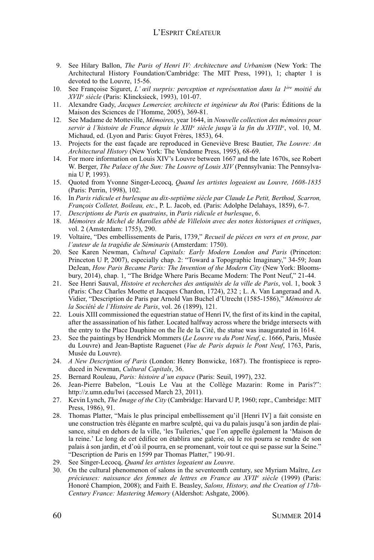#### L'ESPRIT CRÉATEUR

- 9. See Hilary Ballon, *The Paris of Henri IV: Architecture and Urbanism* (New York: The Architectural History Foundation/Cambridge: The MIT Press, 1991), 1; chapter 1 is devoted to the Louvre, 15-56.
- 10. See Françoise Siguret, *L' œil surpris: perception et représentation dans la 1ère moitié du XVIIe siècle* (Paris: Klincksieck, 1993), 101-07.
- 11. Alexandre Gady, *Jacques Lemercier, architecte et ingénieur du Roi* (Paris: Éditions de la Maison des Sciences de l'Homme, 2005), 369-81.
- 12. See Madame de Motteville, *Mémoires*, year 1644, in *Nouvelle collection des mémoires pour servir à l'histoire de France depuis le XIIIe siècle jusqu'à la fin du XVIIIe* , vol. 10, M. Michaud, ed. (Lyon and Paris: Guyot Frères, 1853), 64.
- 13. Projects for the east façade are reproduced in Geneviève Bresc Bautier, *The Louvre: An Architectural History* (New York: The Vendome Press, 1995), 68-69.
- 14. For more information on Louis XIV's Louvre between 1667 and the late 1670s, see Robert W. Berger, *The Palace of the Sun: The Louvre of Louis XIV* (Pennsylvania: The Pennsylvania U P, 1993).
- 15. Quoted from Yvonne Singer-Lecocq, *Quand les artistes logeaient au Louvre, 1608-1835* (Paris: Perrin, 1998), 102.
- 16. In *Paris ridicule et burlesque au dix-septième siècle par Claude Le Petit, Berthod, Scarron, François Colletet, Boileau, etc*., P. L. Jacob, ed. (Paris: Adolphe Delahays, 1859), 6-7.
- 17. *Descriptions de Paris en quatrains*, in *Paris ridicule et burlesque*, 6.
- 18. *Mémoires de Michel de Marolles abbé de Villeloin avec des notes historiques et critiques*, vol. 2 (Amsterdam: 1755), 290.
- 19. Voltaire, "Des embellissements de Paris, 1739," *Recueil de pièces en vers et en prose, par l'auteur de la tragédie de Séminaris* (Amsterdam: 1750).
- 20. See Karen Newman, *Cultural Capitals: Early Modern London and Paris* (Princeton: Princeton U P, 2007), especially chap. 2: "Toward a Topographic Imaginary," 34-59; Joan DeJean, *How Paris Became Paris: The Invention of the Modern City* (New York: Bloomsbury, 2014), chap. 1, "The Bridge Where Paris Became Modern: The Pont Neuf," 21-44.
- 21. See Henri Sauval, *Histoire et recherches des antiquités de la ville de Paris*, vol. 1, book 3 (Paris: Chez Charles Moette et Jacques Chardon, 1724), 232 ; L. A. Van Langeraad and A. Vidier, "Description de Paris par Arnold Van Buchel d'Utrecht (1585-1586)," *Mémoires de la Société de l'Histoire de Paris*, vol. 26 (1899), 121.
- 22. Louis XIII commissioned the equestrian statue of Henri IV, the first of its kind in the capital, after the assassination of his father. Located halfway across where the bridge intersects with the entry to the Place Dauphine on the Île de la Cité, the statue was inaugurated in 1614.
- 23. See the paintings by Hendrick Mommers (*Le Louvre vu du Pont Neuf*, c. 1666, Paris, Musée du Louvre) and Jean-Baptiste Raguenet (*Vue de Paris depuis le Pont Neuf*, 1763, Paris, Musée du Louvre).
- 24. *A New Description of Paris* (London: Henry Bonwicke, 1687). The frontispiece is reproduced in Newman, *Cultural Capitals*, 36.
- 25. Bernard Rouleau, *Paris: histoire d'un espace* (Paris: Seuil, 1997), 232.
- 26. Jean-Pierre Babelon, "Louis Le Vau at the Collège Mazarin: Rome in Paris?": http://z.umn.edu/lwi (accessed March 23, 2011).
- 27. Kevin Lynch, *The Image of the City* (Cambridge: Harvard U P, 1960; repr., Cambridge: MIT Press, 1986), 91.
- 28. Thomas Platter, "Mais le plus principal embellissement qu'il [Henri IV] a fait consiste en une construction très élégante en marbre sculpté, qui va du palais jusqu'à son jardin de plaisance, situé en dehors de la ville, 'les Tuileries,' que l'on appelle également la 'Maison de la reine.' Le long de cet édifice on établira une galerie, où le roi pourra se rendre de son palais à son jardin, et d'où il pourra, en se promenant, voir tout ce qui se passe sur la Seine." "Description de Paris en 1599 par Thomas Platter," 190-91.
- 29. See Singer-Lecocq, *Quand les artistes logeaient au Louvre*.
- 30. On the cultural phenomenon of salons in the seventeenth century, see Myriam Maître, *Les précieuses: naissance des femmes de lettres en France au XVIIe siècle* (1999) (Paris: Honoré Champion, 2008); and Faith E. Beasley, *Salons, History, and the Creation of 17th-Century France: Mastering Memory* (Aldershot: Ashgate, 2006).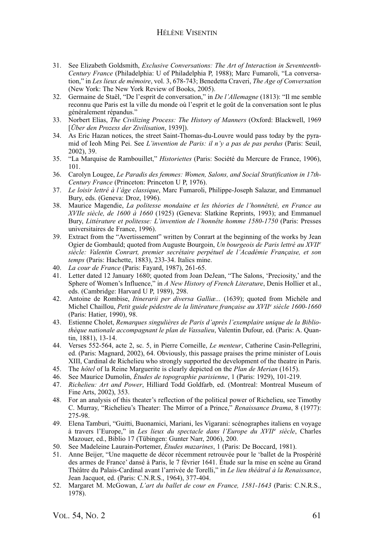#### HÉLÈNE VISENTIN

- 31. See Elizabeth Goldsmith, *Exclusive Conversations: The Art of Interaction in Seventeenth-Century France* (Philadelphia: U of Philadelphia P, 1988); Marc Fumaroli, "La conversation," in *Les lieux de mémoire*, vol. 3, 678-743; Benedetta Craveri, *The Age of Conversation* (New York: The New York Review of Books, 2005).
- 32. Germaine de Staël, "De l'esprit de conversation," in *De l'Allemagne* (1813): "Il me semble reconnu que Paris est la ville du monde où l'esprit et le goût de la conversation sont le plus généralement répandus."
- 33. Norbert Elias, *The Civilizing Process: The History of Manners* (Oxford: Blackwell, 1969 [*Über den Prozess der Zivilisation*, 1939]).
- 34. As Eric Hazan notices, the street Saint-Thomas-du-Louvre would pass today by the pyramid of Ieoh Ming Pei. See *L'invention de Paris: il n'y a pas de pas perdus* (Paris: Seuil, 2002), 39.
- 35. "La Marquise de Rambouillet," *Historiettes* (Paris: Société du Mercure de France, 1906), 101.
- 36. Carolyn Lougee, *Le Paradis des femmes: Women, Salons, and Social Stratification in 17th-Century France* (Princeton: Princeton U P, 1976).
- 37. *Le loisir lettré à l'âge classique*, Marc Fumaroli, Philippe-Joseph Salazar, and Emmanuel Bury, eds. (Geneva: Droz, 1996).
- 38. Maurice Magendie, *La politesse mondaine et les théories de l'honnêteté, en France au XVIIe siècle, de 1600 à 1660* (1925) (Geneva: Slatkine Reprints, 1993); and Emmanuel Bury, *Littérature et politesse: L'invention de l'honnête homme 1580-1750* (Paris: Presses universitaires de France, 1996).
- 39. Extract from the "Avertissement" written by Conrart at the beginning of the works by Jean Ogier de Gombauld; quoted from Auguste Bourgoin, *Un bourgeois de Paris lettré au XVIIe siècle: Valentin Conrart, premier secrétaire perpétuel de l'Académie Française, et son temps* (Paris: Hachette, 1883), 233-34. Italics mine.
- 40. *La cour de France* (Paris: Fayard, 1987), 261-65.
- 41. Letter dated 12 January 1680; quoted from Joan DeJean, "The Salons, 'Preciosity,' and the Sphere of Women's Influence," in *A New History of French Literature*, Denis Hollier et al., eds. (Cambridge: Harvard U P, 1989), 298.
- 42. Antoine de Rombise, *Itinerarii per diversa Galliæ...* (1639); quoted from Michèle and Michel Chaillou, *Petit guide pédestre de la littérature française au XVIIe siècle 1600-1660* (Paris: Hatier, 1990), 98.
- 43. Estienne Cholet, *Remarques singulières de Paris d'après l'exemplaire unique de la Bibliothèque nationale accompagnant le plan de Vassalieu*, Valentin Dufour, ed. (Paris: A. Quantin, 1881), 13-14.
- 44. Verses 552-564, acte 2, sc. 5, in Pierre Corneille, *Le menteur*, Catherine Casin-Pellegrini, ed. (Paris: Magnard, 2002), 64. Obviously, this passage praises the prime minister of Louis XIII, Cardinal de Richelieu who strongly supported the development of the theatre in Paris.
- 45. The *hôtel* of la Reine Marguerite is clearly depicted on the *Plan de Merian* (1615).
- 46. See Maurice Dumolin, *Études de topographie parisienne*, 1 (Paris: 1929), 101-219.
- 47. *Richelieu: Art and Power*, Hilliard Todd Goldfarb, ed. (Montreal: Montreal Museum of Fine Arts, 2002), 353.
- 48. For an analysis of this theater's reflection of the political power of Richelieu, see Timothy C. Murray, "Richelieu's Theater: The Mirror of a Prince," *Renaissance Drama*, 8 (1977): 275-98.
- 49. Elena Tamburi, "Guitti, Buonamici, Mariani, les Vigarani: scénographes italiens en voyage à travers l'Europe," in *Les lieux du spectacle dans l'Europe du XVIIe siècle*, Charles Mazouer, ed., Biblio 17 (Tübingen: Gunter Narr, 2006), 200.
- 50. See Madeleine Laurain-Portemer, *Études mazarines*, 1 (Paris: De Boccard, 1981).
- 51. Anne Beijer, "Une maquette de décor récemment retrouvée pour le 'ballet de la Prospérité des armes de France' dansé à Paris, le 7 février 1641. Étude sur la mise en scène au Grand Théâtre du Palais-Cardinal avant l'arrivée de Torelli," in *Le lieu théâtral à la Renaissance*, Jean Jacquot, ed. (Paris: C.N.R.S., 1964), 377-404.
- 52. Margaret M. McGowan, *L'art du ballet de cour en France, 1581-1643* (Paris: C.N.R.S., 1978).

VOL. 54, NO. 2 61